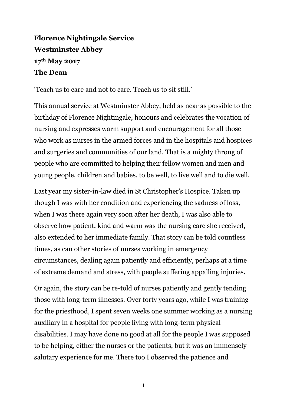## **Florence Nightingale Service Westminster Abbey 17th May 2017 The Dean**

'Teach us to care and not to care. Teach us to sit still.'

This annual service at Westminster Abbey, held as near as possible to the birthday of Florence Nightingale, honours and celebrates the vocation of nursing and expresses warm support and encouragement for all those who work as nurses in the armed forces and in the hospitals and hospices and surgeries and communities of our land. That is a mighty throng of people who are committed to helping their fellow women and men and young people, children and babies, to be well, to live well and to die well.

Last year my sister-in-law died in St Christopher's Hospice. Taken up though I was with her condition and experiencing the sadness of loss, when I was there again very soon after her death, I was also able to observe how patient, kind and warm was the nursing care she received, also extended to her immediate family. That story can be told countless times, as can other stories of nurses working in emergency circumstances, dealing again patiently and efficiently, perhaps at a time of extreme demand and stress, with people suffering appalling injuries.

Or again, the story can be re-told of nurses patiently and gently tending those with long-term illnesses. Over forty years ago, while I was training for the priesthood, I spent seven weeks one summer working as a nursing auxiliary in a hospital for people living with long-term physical disabilities. I may have done no good at all for the people I was supposed to be helping, either the nurses or the patients, but it was an immensely salutary experience for me. There too I observed the patience and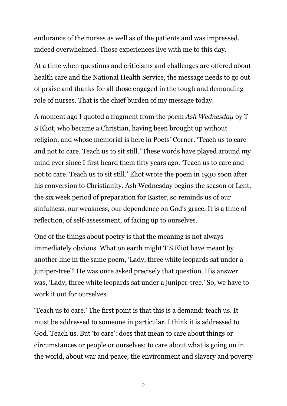endurance of the nurses as well as of the patients and was impressed, indeed overwhelmed. Those experiences live with me to this day.

At a time when questions and criticisms and challenges are offered about health care and the National Health Service, the message needs to go out of praise and thanks for all those engaged in the tough and demanding role of nurses. That is the chief burden of my message today.

A moment ago I quoted a fragment from the poem *Ash Wednesday* by T S Eliot, who became a Christian, having been brought up without religion, and whose memorial is here in Poets' Corner. 'Teach us to care and not to care. Teach us to sit still.' These words have played around my mind ever since I first heard them fifty years ago. 'Teach us to care and not to care. Teach us to sit still.' Eliot wrote the poem in 1930 soon after his conversion to Christianity. Ash Wednesday begins the season of Lent, the six week period of preparation for Easter, so reminds us of our sinfulness, our weakness, our dependence on God's grace. It is a time of reflection, of self-assessment, of facing up to ourselves.

One of the things about poetry is that the meaning is not always immediately obvious. What on earth might T S Eliot have meant by another line in the same poem, 'Lady, three white leopards sat under a juniper-tree'? He was once asked precisely that question. His answer was, 'Lady, three white leopards sat under a juniper-tree.' So, we have to work it out for ourselves.

'Teach us to care.' The first point is that this is a demand: teach us. It must be addressed to someone in particular. I think it is addressed to God. Teach us. But 'to care': does that mean to care about things or circumstances or people or ourselves; to care about what is going on in the world, about war and peace, the environment and slavery and poverty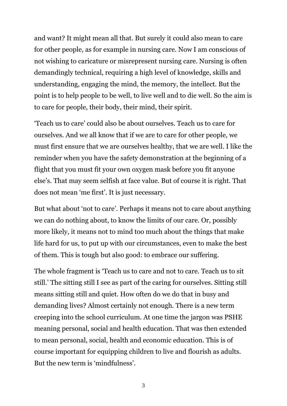and want? It might mean all that. But surely it could also mean to care for other people, as for example in nursing care. Now I am conscious of not wishing to caricature or misrepresent nursing care. Nursing is often demandingly technical, requiring a high level of knowledge, skills and understanding, engaging the mind, the memory, the intellect. But the point is to help people to be well, to live well and to die well. So the aim is to care for people, their body, their mind, their spirit.

'Teach us to care' could also be about ourselves. Teach us to care for ourselves. And we all know that if we are to care for other people, we must first ensure that we are ourselves healthy, that we are well. I like the reminder when you have the safety demonstration at the beginning of a flight that you must fit your own oxygen mask before you fit anyone else's. That may seem selfish at face value. But of course it is right. That does not mean 'me first'. It is just necessary.

But what about 'not to care'. Perhaps it means not to care about anything we can do nothing about, to know the limits of our care. Or, possibly more likely, it means not to mind too much about the things that make life hard for us, to put up with our circumstances, even to make the best of them. This is tough but also good: to embrace our suffering.

The whole fragment is 'Teach us to care and not to care. Teach us to sit still.' The sitting still I see as part of the caring for ourselves. Sitting still means sitting still and quiet. How often do we do that in busy and demanding lives? Almost certainly not enough. There is a new term creeping into the school curriculum. At one time the jargon was PSHE meaning personal, social and health education. That was then extended to mean personal, social, health and economic education. This is of course important for equipping children to live and flourish as adults. But the new term is 'mindfulness'.